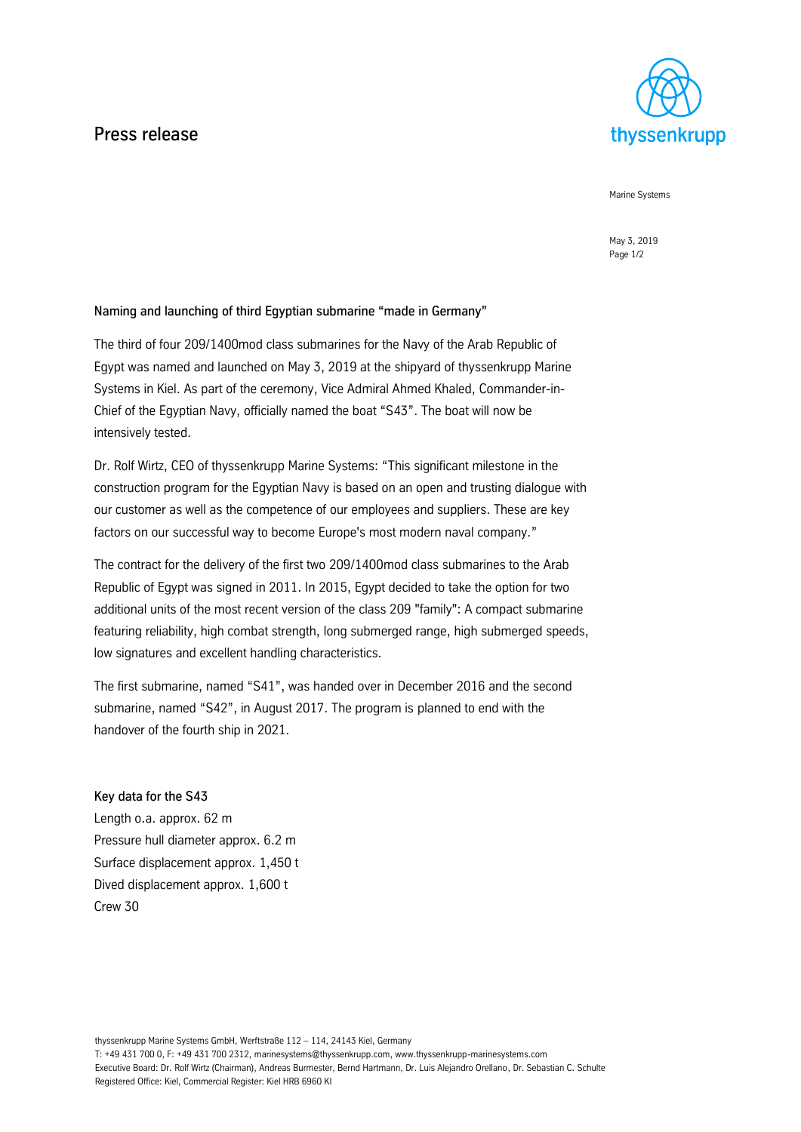## Press release



Marine Systems

May 3, 2019 Page 1/2

## Naming and launching of third Egyptian submarine "made in Germany"

The third of four 209/1400mod class submarines for the Navy of the Arab Republic of Egypt was named and launched on May 3, 2019 at the shipyard of thyssenkrupp Marine Systems in Kiel. As part of the ceremony, Vice Admiral Ahmed Khaled, Commander-in-Chief of the Egyptian Navy, officially named the boat "S43". The boat will now be intensively tested.

Dr. Rolf Wirtz, CEO of thyssenkrupp Marine Systems: "This significant milestone in the construction program for the Egyptian Navy is based on an open and trusting dialogue with our customer as well as the competence of our employees and suppliers. These are key factors on our successful way to become Europe's most modern naval company."

The contract for the delivery of the first two 209/1400mod class submarines to the Arab Republic of Egypt was signed in 2011. In 2015, Egypt decided to take the option for two additional units of the most recent version of the class 209 "family": A compact submarine featuring reliability, high combat strength, long submerged range, high submerged speeds, low signatures and excellent handling characteristics.

The first submarine, named "S41", was handed over in December 2016 and the second submarine, named "S42", in August 2017. The program is planned to end with the handover of the fourth ship in 2021.

Key data for the S43 Length o.a. approx. 62 m Pressure hull diameter approx. 6.2 m Surface displacement approx. 1,450 t Dived displacement approx. 1,600 t Crew 30